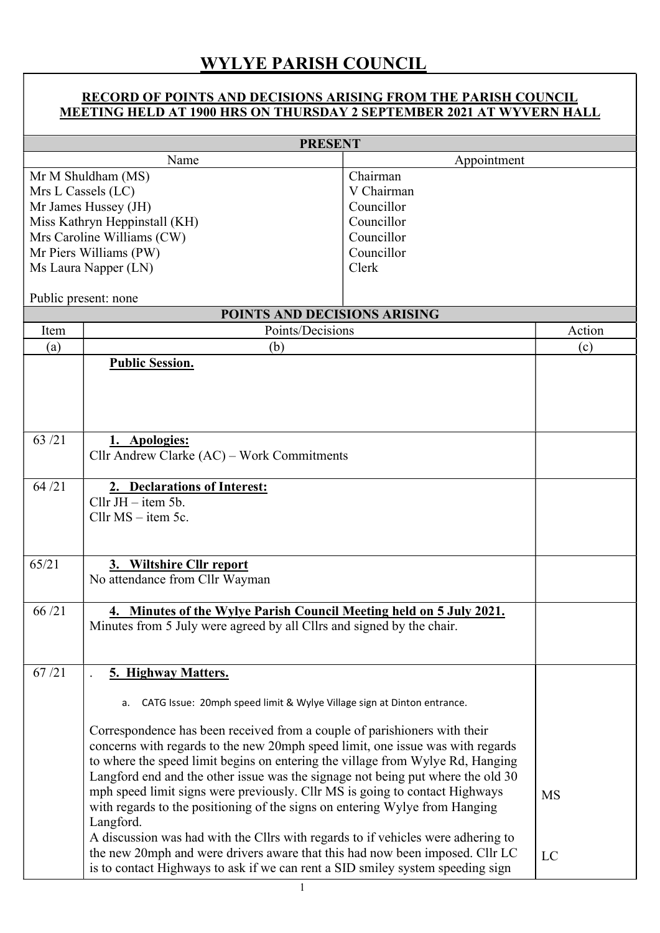## WYLYE PARISH COUNCIL

## RECORD OF POINTS AND DECISIONS ARISING FROM THE PARISH COUNCIL MEETING HELD AT 1900 HRS ON THURSDAY 2 SEPTEMBER 2021 AT WYVERN HALL

| <b>PRESENT</b>         |                                                                                                                                                                                                                                               |            |           |  |  |
|------------------------|-----------------------------------------------------------------------------------------------------------------------------------------------------------------------------------------------------------------------------------------------|------------|-----------|--|--|
| Appointment<br>Name    |                                                                                                                                                                                                                                               |            |           |  |  |
| Mr M Shuldham (MS)     |                                                                                                                                                                                                                                               | Chairman   |           |  |  |
|                        | Mrs L Cassels (LC)                                                                                                                                                                                                                            | V Chairman |           |  |  |
|                        | Mr James Hussey (JH)                                                                                                                                                                                                                          | Councillor |           |  |  |
|                        | Miss Kathryn Heppinstall (KH)                                                                                                                                                                                                                 | Councillor |           |  |  |
|                        | Mrs Caroline Williams (CW)                                                                                                                                                                                                                    | Councillor |           |  |  |
| Mr Piers Williams (PW) |                                                                                                                                                                                                                                               | Councillor |           |  |  |
| Ms Laura Napper (LN)   |                                                                                                                                                                                                                                               | Clerk      |           |  |  |
|                        | Public present: none                                                                                                                                                                                                                          |            |           |  |  |
|                        | POINTS AND DECISIONS ARISING                                                                                                                                                                                                                  |            |           |  |  |
| Item                   | Points/Decisions                                                                                                                                                                                                                              |            | Action    |  |  |
| (a)                    | (b)                                                                                                                                                                                                                                           |            | (c)       |  |  |
|                        | <b>Public Session.</b>                                                                                                                                                                                                                        |            |           |  |  |
|                        |                                                                                                                                                                                                                                               |            |           |  |  |
|                        |                                                                                                                                                                                                                                               |            |           |  |  |
|                        |                                                                                                                                                                                                                                               |            |           |  |  |
| 63/21                  | 1. Apologies:                                                                                                                                                                                                                                 |            |           |  |  |
|                        | Cllr Andrew Clarke (AC) – Work Commitments                                                                                                                                                                                                    |            |           |  |  |
|                        |                                                                                                                                                                                                                                               |            |           |  |  |
| 64/21                  | 2. Declarations of Interest:                                                                                                                                                                                                                  |            |           |  |  |
|                        | Cllr $JH - item 5b$ .                                                                                                                                                                                                                         |            |           |  |  |
|                        | Cllr $MS - item 5c$ .                                                                                                                                                                                                                         |            |           |  |  |
|                        |                                                                                                                                                                                                                                               |            |           |  |  |
|                        |                                                                                                                                                                                                                                               |            |           |  |  |
| 65/21                  | 3. Wiltshire Cllr report                                                                                                                                                                                                                      |            |           |  |  |
|                        | No attendance from Cllr Wayman                                                                                                                                                                                                                |            |           |  |  |
| 66/21                  |                                                                                                                                                                                                                                               |            |           |  |  |
|                        | 4. Minutes of the Wylye Parish Council Meeting held on 5 July 2021.<br>Minutes from 5 July were agreed by all Cllrs and signed by the chair.                                                                                                  |            |           |  |  |
|                        |                                                                                                                                                                                                                                               |            |           |  |  |
|                        |                                                                                                                                                                                                                                               |            |           |  |  |
| 67/21                  | 5. Highway Matters.                                                                                                                                                                                                                           |            |           |  |  |
|                        |                                                                                                                                                                                                                                               |            |           |  |  |
|                        | CATG Issue: 20mph speed limit & Wylye Village sign at Dinton entrance.<br>a.                                                                                                                                                                  |            |           |  |  |
|                        | Correspondence has been received from a couple of parishioners with their<br>concerns with regards to the new 20mph speed limit, one issue was with regards<br>to where the speed limit begins on entering the village from Wylye Rd, Hanging |            |           |  |  |
|                        |                                                                                                                                                                                                                                               |            |           |  |  |
|                        |                                                                                                                                                                                                                                               |            |           |  |  |
|                        | Langford end and the other issue was the signage not being put where the old 30                                                                                                                                                               |            |           |  |  |
|                        | mph speed limit signs were previously. Cllr MS is going to contact Highways                                                                                                                                                                   |            | <b>MS</b> |  |  |
|                        | with regards to the positioning of the signs on entering Wylye from Hanging                                                                                                                                                                   |            |           |  |  |
|                        | Langford.                                                                                                                                                                                                                                     |            |           |  |  |
|                        | A discussion was had with the Cllrs with regards to if vehicles were adhering to                                                                                                                                                              |            |           |  |  |
|                        | the new 20mph and were drivers aware that this had now been imposed. Cllr LC                                                                                                                                                                  |            | LC        |  |  |
|                        | is to contact Highways to ask if we can rent a SID smiley system speeding sign                                                                                                                                                                |            |           |  |  |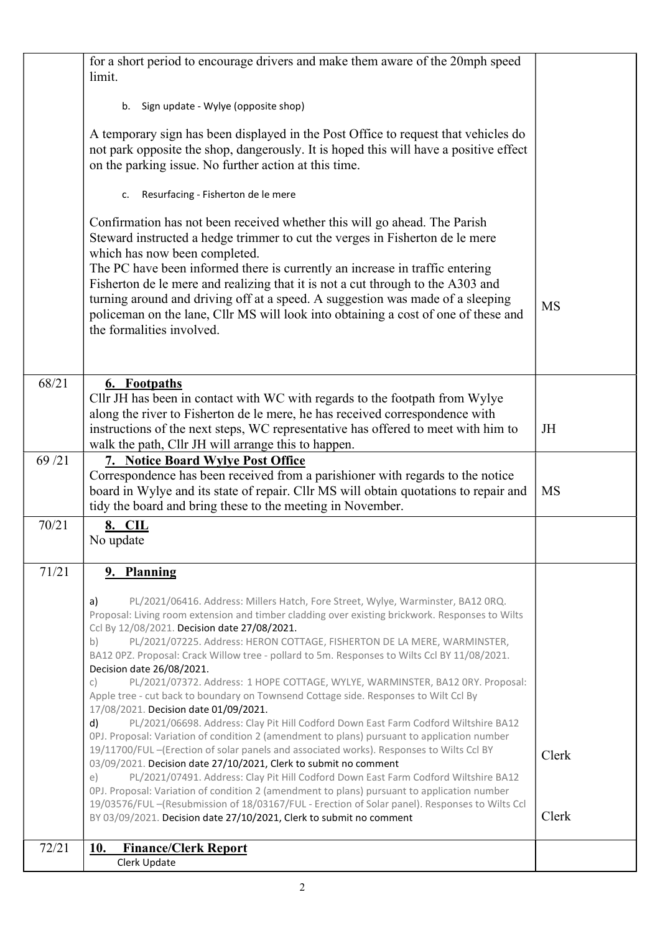|       | for a short period to encourage drivers and make them aware of the 20mph speed<br>limit.                                                                             |           |
|-------|----------------------------------------------------------------------------------------------------------------------------------------------------------------------|-----------|
|       | Sign update - Wylye (opposite shop)<br>b.                                                                                                                            |           |
|       |                                                                                                                                                                      |           |
|       | A temporary sign has been displayed in the Post Office to request that vehicles do                                                                                   |           |
|       | not park opposite the shop, dangerously. It is hoped this will have a positive effect<br>on the parking issue. No further action at this time.                       |           |
|       |                                                                                                                                                                      |           |
|       | Resurfacing - Fisherton de le mere<br>c.                                                                                                                             |           |
|       | Confirmation has not been received whether this will go ahead. The Parish                                                                                            |           |
|       | Steward instructed a hedge trimmer to cut the verges in Fisherton de le mere                                                                                         |           |
|       | which has now been completed.<br>The PC have been informed there is currently an increase in traffic entering                                                        |           |
|       | Fisherton de le mere and realizing that it is not a cut through to the A303 and                                                                                      |           |
|       | turning around and driving off at a speed. A suggestion was made of a sleeping                                                                                       | <b>MS</b> |
|       | policeman on the lane, Cllr MS will look into obtaining a cost of one of these and<br>the formalities involved.                                                      |           |
|       |                                                                                                                                                                      |           |
|       |                                                                                                                                                                      |           |
| 68/21 | 6. Footpaths                                                                                                                                                         |           |
|       | Cllr JH has been in contact with WC with regards to the footpath from Wylye<br>along the river to Fisherton de le mere, he has received correspondence with          |           |
|       | instructions of the next steps, WC representative has offered to meet with him to                                                                                    | JH        |
|       | walk the path, Cllr JH will arrange this to happen.                                                                                                                  |           |
| 69/21 | 7. Notice Board Wylye Post Office<br>Correspondence has been received from a parishioner with regards to the notice                                                  |           |
|       | board in Wylye and its state of repair. Cllr MS will obtain quotations to repair and                                                                                 | <b>MS</b> |
|       | tidy the board and bring these to the meeting in November.                                                                                                           |           |
| 70/21 | 8. CIL                                                                                                                                                               |           |
|       | No update                                                                                                                                                            |           |
| 71/21 | 9. Planning                                                                                                                                                          |           |
|       | PL/2021/06416. Address: Millers Hatch, Fore Street, Wylye, Warminster, BA12 ORQ.<br>a)                                                                               |           |
|       | Proposal: Living room extension and timber cladding over existing brickwork. Responses to Wilts                                                                      |           |
|       | Ccl By 12/08/2021. Decision date 27/08/2021.<br>PL/2021/07225. Address: HERON COTTAGE, FISHERTON DE LA MERE, WARMINSTER,<br>b)                                       |           |
|       | BA12 OPZ. Proposal: Crack Willow tree - pollard to 5m. Responses to Wilts Ccl BY 11/08/2021.                                                                         |           |
|       | Decision date 26/08/2021.<br>PL/2021/07372. Address: 1 HOPE COTTAGE, WYLYE, WARMINSTER, BA12 0RY. Proposal:<br>C)                                                    |           |
|       | Apple tree - cut back to boundary on Townsend Cottage side. Responses to Wilt Ccl By                                                                                 |           |
|       | 17/08/2021. Decision date 01/09/2021.<br>PL/2021/06698. Address: Clay Pit Hill Codford Down East Farm Codford Wiltshire BA12<br>d)                                   |           |
|       | OPJ. Proposal: Variation of condition 2 (amendment to plans) pursuant to application number                                                                          |           |
|       | 19/11700/FUL-(Erection of solar panels and associated works). Responses to Wilts Ccl BY                                                                              | Clerk     |
|       | 03/09/2021. Decision date 27/10/2021, Clerk to submit no comment<br>PL/2021/07491. Address: Clay Pit Hill Codford Down East Farm Codford Wiltshire BA12<br>e)        |           |
|       | OPJ. Proposal: Variation of condition 2 (amendment to plans) pursuant to application number                                                                          |           |
|       | 19/03576/FUL-(Resubmission of 18/03167/FUL - Erection of Solar panel). Responses to Wilts Ccl<br>BY 03/09/2021. Decision date 27/10/2021, Clerk to submit no comment | Clerk     |
|       |                                                                                                                                                                      |           |
| 72/21 | 10.<br><b>Finance/Clerk Report</b><br>Clerk Update                                                                                                                   |           |
|       |                                                                                                                                                                      |           |